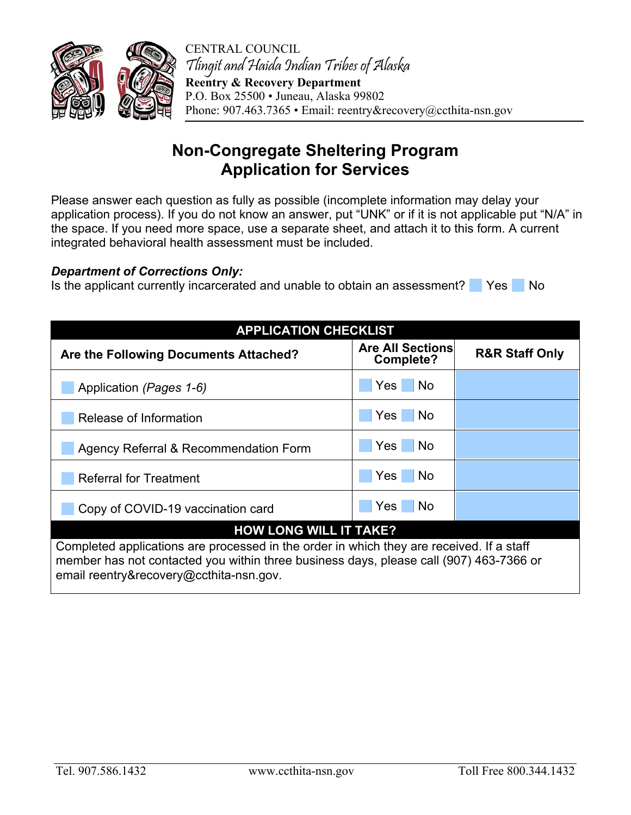

CENTRAL COUNCIL Tlingit and Haida Indian Tribes of Alaska **Reentry & Recovery Department**  P.O. Box 25500 • Juneau, Alaska 99802 Phone: 907.463.7365 • Email: reentry&recovery@ccthita-nsn.gov

## **Non-Congregate Sheltering Program Application for Services**

Please answer each question as fully as possible (incomplete information may delay your application process). If you do not know an answer, put "UNK" or if it is not applicable put "N/A" in the space. If you need more space, use a separate sheet, and attach it to this form. A current integrated behavioral health assessment must be included.

## *Department of Corrections Only:*

Is the applicant currently incarcerated and unable to obtain an assessment? Yes No

| <b>APPLICATION CHECKLIST</b>                                                                                                                                                                                                  |                                      |                           |  |  |  |
|-------------------------------------------------------------------------------------------------------------------------------------------------------------------------------------------------------------------------------|--------------------------------------|---------------------------|--|--|--|
| Are the Following Documents Attached?                                                                                                                                                                                         | <b>Are All Sections</b><br>Complete? | <b>R&amp;R Staff Only</b> |  |  |  |
| Application (Pages 1-6)                                                                                                                                                                                                       | Yes  <br>l No                        |                           |  |  |  |
| Release of Information                                                                                                                                                                                                        | Yes<br><b>No</b>                     |                           |  |  |  |
| Agency Referral & Recommendation Form                                                                                                                                                                                         | Yes<br><b>No</b>                     |                           |  |  |  |
| <b>Referral for Treatment</b>                                                                                                                                                                                                 | Yes <sup>1</sup><br>No.              |                           |  |  |  |
| Copy of COVID-19 vaccination card                                                                                                                                                                                             | Yes <sub>l</sub><br>No               |                           |  |  |  |
| <b>HOW LONG WILL IT TAKE?</b>                                                                                                                                                                                                 |                                      |                           |  |  |  |
| Completed applications are processed in the order in which they are received. If a staff<br>member has not contacted you within three business days, please call (907) 463-7366 or<br>email reentry&recovery@ccthita-nsn.gov. |                                      |                           |  |  |  |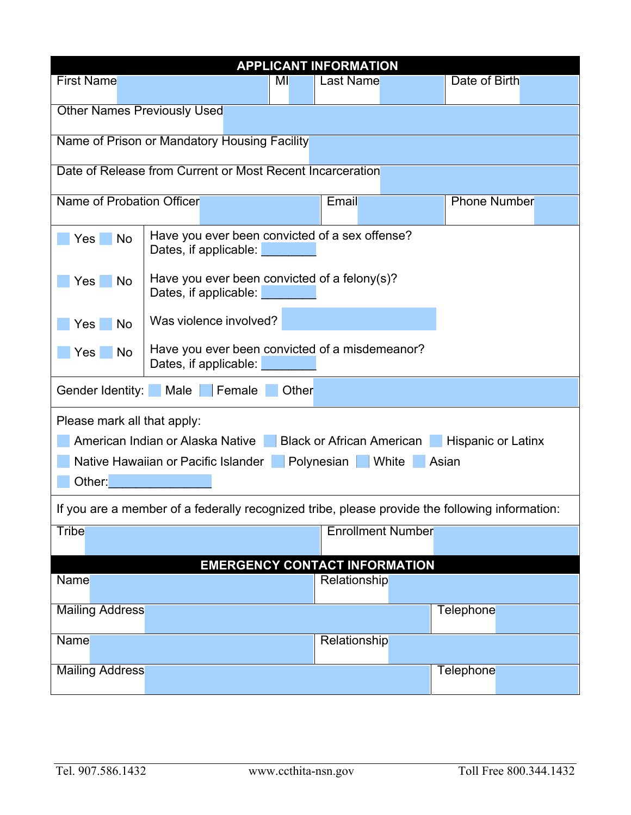| <b>APPLICANT INFORMATION</b>                                                                   |                                                                               |       |              |                          |                     |
|------------------------------------------------------------------------------------------------|-------------------------------------------------------------------------------|-------|--------------|--------------------------|---------------------|
| <b>First Name</b>                                                                              |                                                                               | МI    | Last Name    |                          | Date of Birth       |
|                                                                                                |                                                                               |       |              |                          |                     |
| <b>Other Names Previously Used</b>                                                             |                                                                               |       |              |                          |                     |
|                                                                                                | Name of Prison or Mandatory Housing Facility                                  |       |              |                          |                     |
|                                                                                                |                                                                               |       |              |                          |                     |
|                                                                                                | Date of Release from Current or Most Recent Incarceration                     |       |              |                          |                     |
| Name of Probation Officer                                                                      |                                                                               |       | Email        |                          | <b>Phone Number</b> |
|                                                                                                |                                                                               |       |              |                          |                     |
| Yes<br>No                                                                                      | Have you ever been convicted of a sex offense?                                |       |              |                          |                     |
|                                                                                                | Dates, if applicable:                                                         |       |              |                          |                     |
| Yes<br>No                                                                                      | Have you ever been convicted of a felony(s)?                                  |       |              |                          |                     |
|                                                                                                | Dates, if applicable:                                                         |       |              |                          |                     |
| Yes<br>No                                                                                      | Was violence involved?                                                        |       |              |                          |                     |
|                                                                                                |                                                                               |       |              |                          |                     |
| Yes<br>No                                                                                      | Have you ever been convicted of a misdemeanor?<br>Dates, if applicable:       |       |              |                          |                     |
|                                                                                                |                                                                               |       |              |                          |                     |
| Gender Identity:                                                                               | Male<br>Female                                                                | Other |              |                          |                     |
| Please mark all that apply:                                                                    |                                                                               |       |              |                          |                     |
|                                                                                                | American Indian or Alaska Native Black or African American Hispanic or Latinx |       |              |                          |                     |
|                                                                                                | Polynesian White Asian<br>Native Hawaiian or Pacific Islander                 |       |              |                          |                     |
| Other:                                                                                         |                                                                               |       |              |                          |                     |
|                                                                                                |                                                                               |       |              |                          |                     |
| If you are a member of a federally recognized tribe, please provide the following information: |                                                                               |       |              |                          |                     |
| <b>Tribe</b>                                                                                   |                                                                               |       |              | <b>Enrollment Number</b> |                     |
| <b>EMERGENCY CONTACT INFORMATION</b>                                                           |                                                                               |       |              |                          |                     |
| <b>Name</b><br>Relationship                                                                    |                                                                               |       |              |                          |                     |
|                                                                                                |                                                                               |       |              |                          |                     |
| <b>Mailing Address</b>                                                                         |                                                                               |       |              |                          | Telephone           |
| <b>Name</b>                                                                                    |                                                                               |       | Relationship |                          |                     |
|                                                                                                |                                                                               |       |              |                          |                     |
| <b>Mailing Address</b>                                                                         |                                                                               |       |              |                          | Telephone           |
|                                                                                                |                                                                               |       |              |                          |                     |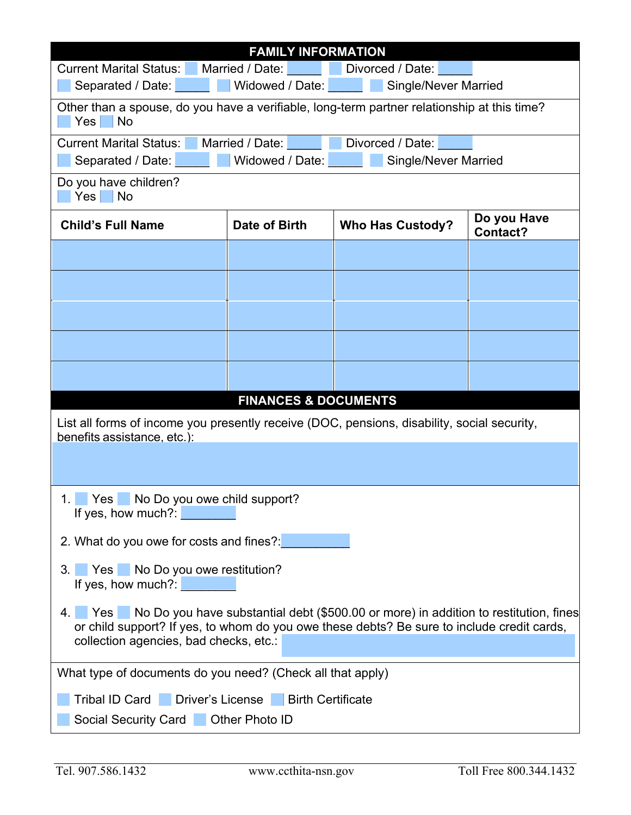| <b>FAMILY INFORMATION</b>                                                                                                                                                                                                           |                                     |                             |                         |  |
|-------------------------------------------------------------------------------------------------------------------------------------------------------------------------------------------------------------------------------------|-------------------------------------|-----------------------------|-------------------------|--|
| <b>Current Marital Status:</b><br>Divorced / Date:<br>Married / Date:<br>and the state of the state                                                                                                                                 |                                     |                             |                         |  |
| <b>Single/Never Married</b><br>Separated / Date:<br>Widowed / Date:                                                                                                                                                                 |                                     |                             |                         |  |
| Other than a spouse, do you have a verifiable, long-term partner relationship at this time?<br>Yes<br>No                                                                                                                            |                                     |                             |                         |  |
| <b>Current Marital Status:</b>                                                                                                                                                                                                      | Married / Date:<br>Divorced / Date: |                             |                         |  |
| Separated / Date:                                                                                                                                                                                                                   | Widowed / Date:                     | <b>Single/Never Married</b> |                         |  |
| Do you have children?<br>Yes<br>No                                                                                                                                                                                                  |                                     |                             |                         |  |
| <b>Child's Full Name</b>                                                                                                                                                                                                            | Date of Birth                       | <b>Who Has Custody?</b>     | Do you Have<br>Contact? |  |
|                                                                                                                                                                                                                                     |                                     |                             |                         |  |
|                                                                                                                                                                                                                                     |                                     |                             |                         |  |
|                                                                                                                                                                                                                                     |                                     |                             |                         |  |
|                                                                                                                                                                                                                                     |                                     |                             |                         |  |
|                                                                                                                                                                                                                                     |                                     |                             |                         |  |
|                                                                                                                                                                                                                                     | <b>FINANCES &amp; DOCUMENTS</b>     |                             |                         |  |
| List all forms of income you presently receive (DOC, pensions, disability, social security,<br>benefits assistance, etc.):                                                                                                          |                                     |                             |                         |  |
|                                                                                                                                                                                                                                     |                                     |                             |                         |  |
| Yes No Do you owe child support?<br>1.<br>If yes, how much?:                                                                                                                                                                        |                                     |                             |                         |  |
| 2. What do you owe for costs and fines?:                                                                                                                                                                                            |                                     |                             |                         |  |
| 3. Yes No Do you owe restitution?<br>If yes, how much?:                                                                                                                                                                             |                                     |                             |                         |  |
| 4. Yes No Do you have substantial debt (\$500.00 or more) in addition to restitution, fines<br>or child support? If yes, to whom do you owe these debts? Be sure to include credit cards,<br>collection agencies, bad checks, etc.: |                                     |                             |                         |  |
| What type of documents do you need? (Check all that apply)                                                                                                                                                                          |                                     |                             |                         |  |
| Tribal ID Card Driver's License Birth Certificate                                                                                                                                                                                   |                                     |                             |                         |  |
| Social Security Card  Other Photo ID                                                                                                                                                                                                |                                     |                             |                         |  |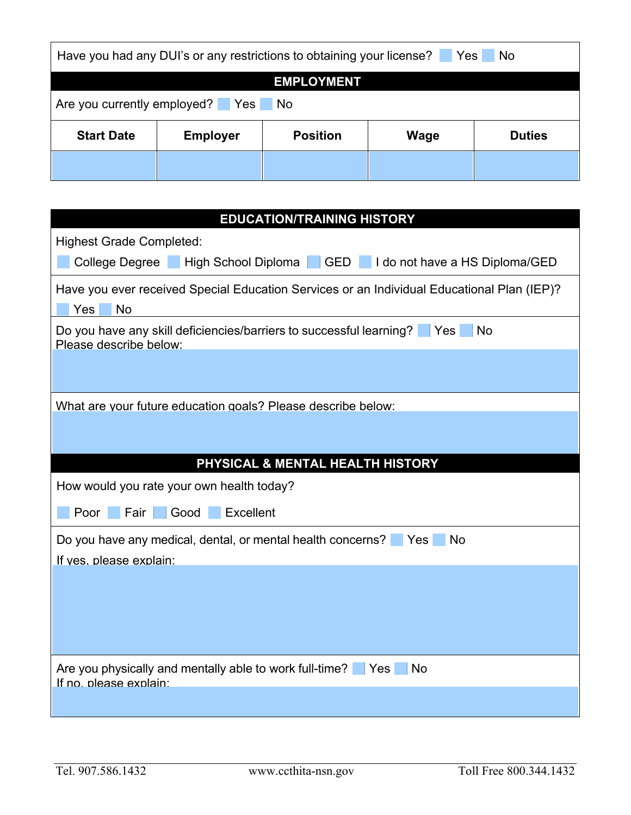| Have you had any DUI's or any restrictions to obtaining your license?<br>Yes<br>  No |                 |                 |             |               |  |
|--------------------------------------------------------------------------------------|-----------------|-----------------|-------------|---------------|--|
| <b>EMPLOYMENT</b>                                                                    |                 |                 |             |               |  |
| Are you currently employed? Yes No                                                   |                 |                 |             |               |  |
| <b>Start Date</b>                                                                    | <b>Employer</b> | <b>Position</b> | <b>Wage</b> | <b>Duties</b> |  |
|                                                                                      |                 |                 |             |               |  |

| <b>EDUCATION/TRAINING HISTORY</b>                                                                          |  |  |  |  |
|------------------------------------------------------------------------------------------------------------|--|--|--|--|
| <b>Highest Grade Completed:</b>                                                                            |  |  |  |  |
| College Degree High School Diploma GED I do not have a HS Diploma/GED                                      |  |  |  |  |
| Have you ever received Special Education Services or an Individual Educational Plan (IEP)?                 |  |  |  |  |
| Yes<br><b>No</b>                                                                                           |  |  |  |  |
| Do you have any skill deficiencies/barriers to successful learning?<br>Yes<br>No<br>Please describe below: |  |  |  |  |
|                                                                                                            |  |  |  |  |
| What are your future education goals? Please describe below:                                               |  |  |  |  |
|                                                                                                            |  |  |  |  |
| PHYSICAL & MENTAL HEALTH HISTORY                                                                           |  |  |  |  |
| How would you rate your own health today?                                                                  |  |  |  |  |
| Good<br>Excellent<br>Fair<br>Poor                                                                          |  |  |  |  |
| Do you have any medical, dental, or mental health concerns?<br><b>No</b><br>Yes<br>If yes. please explain: |  |  |  |  |
|                                                                                                            |  |  |  |  |
|                                                                                                            |  |  |  |  |
|                                                                                                            |  |  |  |  |
| Are you physically and mentally able to work full-time?   Yes<br><b>No</b><br>If no. please explain:       |  |  |  |  |
|                                                                                                            |  |  |  |  |